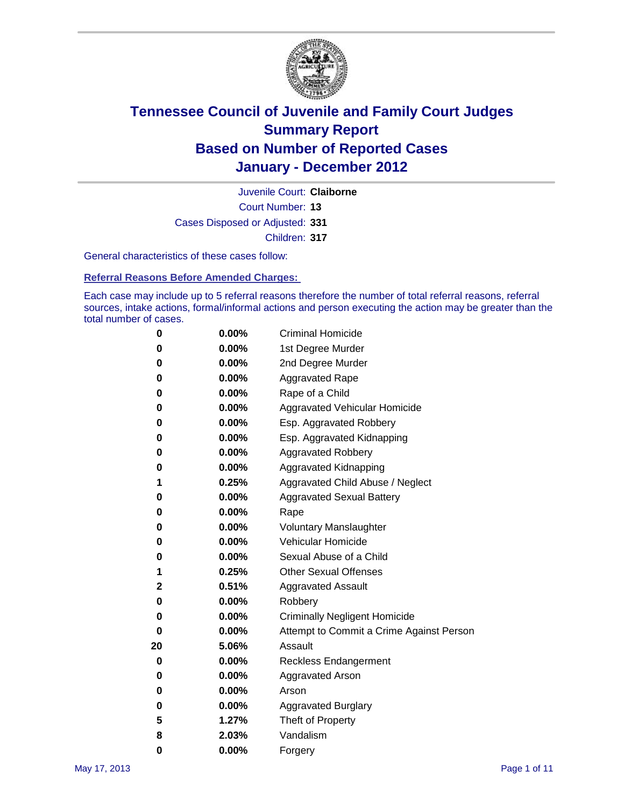

Court Number: **13** Juvenile Court: **Claiborne** Cases Disposed or Adjusted: **331** Children: **317**

General characteristics of these cases follow:

**Referral Reasons Before Amended Charges:** 

Each case may include up to 5 referral reasons therefore the number of total referral reasons, referral sources, intake actions, formal/informal actions and person executing the action may be greater than the total number of cases.

| 0  | 0.00%    | <b>Criminal Homicide</b>                 |
|----|----------|------------------------------------------|
| 0  | 0.00%    | 1st Degree Murder                        |
| 0  | 0.00%    | 2nd Degree Murder                        |
| 0  | 0.00%    | <b>Aggravated Rape</b>                   |
| 0  | 0.00%    | Rape of a Child                          |
| 0  | 0.00%    | Aggravated Vehicular Homicide            |
| 0  | 0.00%    | Esp. Aggravated Robbery                  |
| 0  | 0.00%    | Esp. Aggravated Kidnapping               |
| 0  | 0.00%    | <b>Aggravated Robbery</b>                |
| 0  | 0.00%    | Aggravated Kidnapping                    |
| 1  | 0.25%    | Aggravated Child Abuse / Neglect         |
| 0  | $0.00\%$ | <b>Aggravated Sexual Battery</b>         |
| 0  | 0.00%    | Rape                                     |
| 0  | $0.00\%$ | <b>Voluntary Manslaughter</b>            |
| 0  | 0.00%    | Vehicular Homicide                       |
| 0  | 0.00%    | Sexual Abuse of a Child                  |
| 1  | 0.25%    | <b>Other Sexual Offenses</b>             |
| 2  | 0.51%    | <b>Aggravated Assault</b>                |
| 0  | $0.00\%$ | Robbery                                  |
| 0  | 0.00%    | <b>Criminally Negligent Homicide</b>     |
| 0  | 0.00%    | Attempt to Commit a Crime Against Person |
| 20 | 5.06%    | Assault                                  |
| 0  | 0.00%    | <b>Reckless Endangerment</b>             |
| 0  | 0.00%    | <b>Aggravated Arson</b>                  |
| 0  | 0.00%    | Arson                                    |
| 0  | 0.00%    | <b>Aggravated Burglary</b>               |
| 5  | 1.27%    | Theft of Property                        |
| 8  | 2.03%    | Vandalism                                |
| 0  | 0.00%    | Forgery                                  |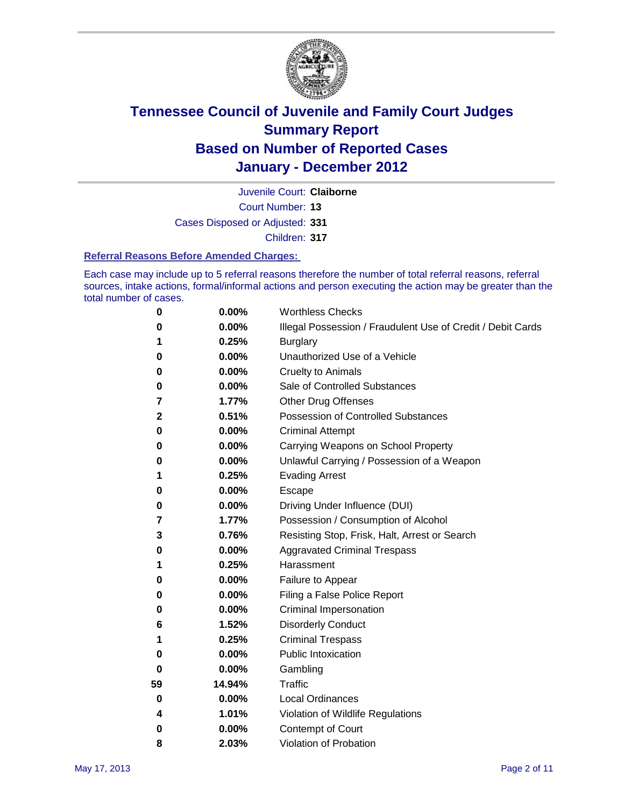

Court Number: **13** Juvenile Court: **Claiborne**

Cases Disposed or Adjusted: **331**

Children: **317**

#### **Referral Reasons Before Amended Charges:**

Each case may include up to 5 referral reasons therefore the number of total referral reasons, referral sources, intake actions, formal/informal actions and person executing the action may be greater than the total number of cases.

| 0            | 0.00%  | <b>Worthless Checks</b>                                     |
|--------------|--------|-------------------------------------------------------------|
| 0            | 0.00%  | Illegal Possession / Fraudulent Use of Credit / Debit Cards |
| 1            | 0.25%  | <b>Burglary</b>                                             |
| 0            | 0.00%  | Unauthorized Use of a Vehicle                               |
| 0            | 0.00%  | <b>Cruelty to Animals</b>                                   |
| 0            | 0.00%  | Sale of Controlled Substances                               |
| 7            | 1.77%  | <b>Other Drug Offenses</b>                                  |
| $\mathbf{2}$ | 0.51%  | <b>Possession of Controlled Substances</b>                  |
| 0            | 0.00%  | <b>Criminal Attempt</b>                                     |
| 0            | 0.00%  | Carrying Weapons on School Property                         |
| 0            | 0.00%  | Unlawful Carrying / Possession of a Weapon                  |
| 1            | 0.25%  | <b>Evading Arrest</b>                                       |
| 0            | 0.00%  | Escape                                                      |
| 0            | 0.00%  | Driving Under Influence (DUI)                               |
| 7            | 1.77%  | Possession / Consumption of Alcohol                         |
| 3            | 0.76%  | Resisting Stop, Frisk, Halt, Arrest or Search               |
| 0            | 0.00%  | <b>Aggravated Criminal Trespass</b>                         |
| 1            | 0.25%  | Harassment                                                  |
| 0            | 0.00%  | Failure to Appear                                           |
| 0            | 0.00%  | Filing a False Police Report                                |
| 0            | 0.00%  | Criminal Impersonation                                      |
| 6            | 1.52%  | <b>Disorderly Conduct</b>                                   |
| 1            | 0.25%  | <b>Criminal Trespass</b>                                    |
| 0            | 0.00%  | <b>Public Intoxication</b>                                  |
| 0            | 0.00%  | Gambling                                                    |
| 59           | 14.94% | <b>Traffic</b>                                              |
| 0            | 0.00%  | <b>Local Ordinances</b>                                     |
| 4            | 1.01%  | Violation of Wildlife Regulations                           |
| 0            | 0.00%  | Contempt of Court                                           |
| 8            | 2.03%  | Violation of Probation                                      |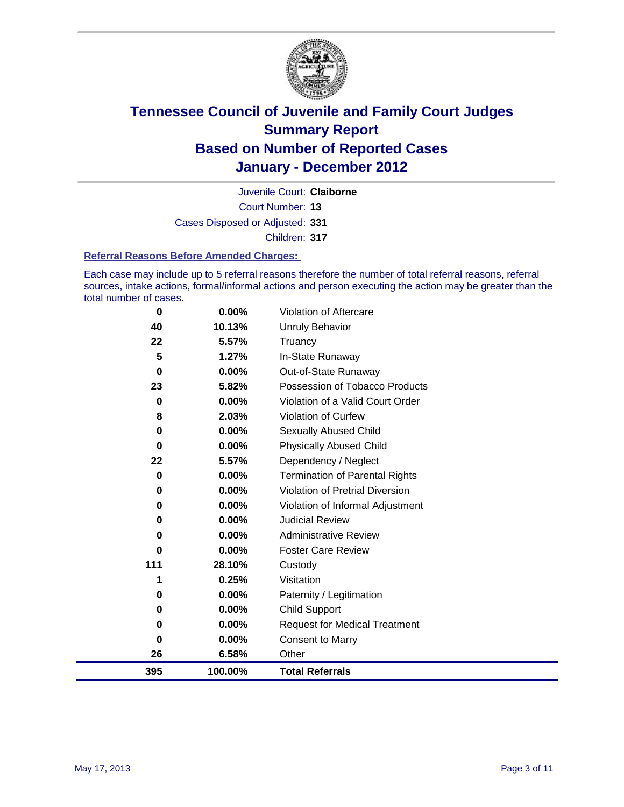

Court Number: **13** Juvenile Court: **Claiborne** Cases Disposed or Adjusted: **331** Children: **317**

#### **Referral Reasons Before Amended Charges:**

Each case may include up to 5 referral reasons therefore the number of total referral reasons, referral sources, intake actions, formal/informal actions and person executing the action may be greater than the total number of cases.

| 0   | 0.00%   | Violation of Aftercare                 |
|-----|---------|----------------------------------------|
| 40  | 10.13%  | <b>Unruly Behavior</b>                 |
| 22  | 5.57%   | Truancy                                |
| 5   | 1.27%   | In-State Runaway                       |
| 0   | 0.00%   | Out-of-State Runaway                   |
| 23  | 5.82%   | Possession of Tobacco Products         |
| 0   | 0.00%   | Violation of a Valid Court Order       |
| 8   | 2.03%   | Violation of Curfew                    |
| 0   | 0.00%   | Sexually Abused Child                  |
| 0   | 0.00%   | <b>Physically Abused Child</b>         |
| 22  | 5.57%   | Dependency / Neglect                   |
| 0   | 0.00%   | <b>Termination of Parental Rights</b>  |
| 0   | 0.00%   | <b>Violation of Pretrial Diversion</b> |
| 0   | 0.00%   | Violation of Informal Adjustment       |
| 0   | 0.00%   | <b>Judicial Review</b>                 |
| 0   | 0.00%   | <b>Administrative Review</b>           |
| 0   | 0.00%   | <b>Foster Care Review</b>              |
| 111 | 28.10%  | Custody                                |
| 1   | 0.25%   | Visitation                             |
| 0   | 0.00%   | Paternity / Legitimation               |
| 0   | 0.00%   | <b>Child Support</b>                   |
| 0   | 0.00%   | <b>Request for Medical Treatment</b>   |
| 0   | 0.00%   | <b>Consent to Marry</b>                |
| 26  | 6.58%   | Other                                  |
| 395 | 100.00% | <b>Total Referrals</b>                 |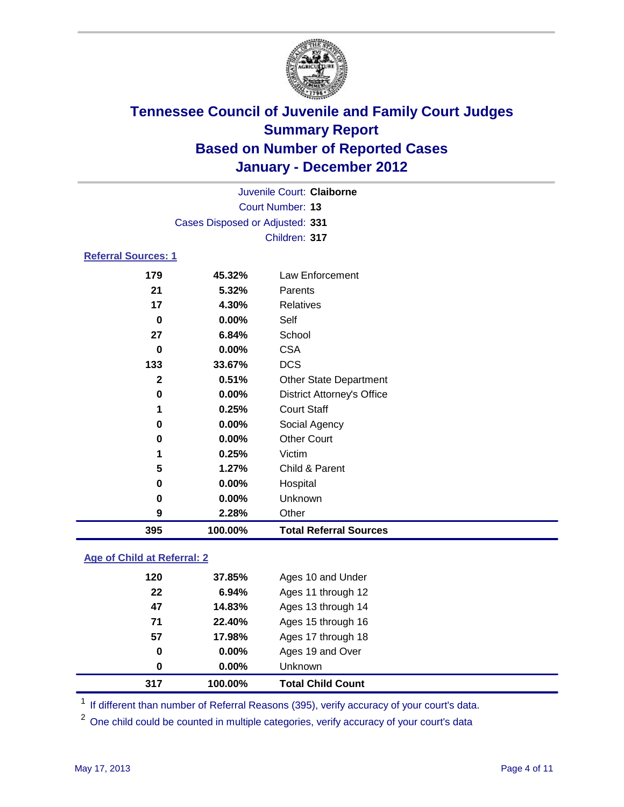

| 395                        | 100.00%                         | <b>Total Referral Sources</b>     |  |
|----------------------------|---------------------------------|-----------------------------------|--|
| 9                          | 2.28%                           | Other                             |  |
| 0                          | 0.00%                           | Unknown                           |  |
| 0                          | $0.00\%$                        | Hospital                          |  |
| 5                          | 1.27%                           | Child & Parent                    |  |
| 1                          | 0.25%                           | Victim                            |  |
| 0                          | 0.00%                           | <b>Other Court</b>                |  |
| 0                          | $0.00\%$                        | Social Agency                     |  |
| 1                          | 0.25%                           | <b>Court Staff</b>                |  |
| 0                          | 0.00%                           | <b>District Attorney's Office</b> |  |
| $\mathbf{2}$               | 0.51%                           | <b>Other State Department</b>     |  |
| 133                        | 33.67%                          | <b>DCS</b>                        |  |
| $\bf{0}$                   | $0.00\%$                        | <b>CSA</b>                        |  |
| 27                         | 6.84%                           | School                            |  |
| 0                          | 0.00%                           | Self                              |  |
| 17                         | 4.30%                           | <b>Relatives</b>                  |  |
| 21                         | 5.32%                           | Parents                           |  |
| 179                        | 45.32%                          | Law Enforcement                   |  |
| <b>Referral Sources: 1</b> |                                 |                                   |  |
|                            |                                 | Children: 317                     |  |
|                            | Cases Disposed or Adjusted: 331 |                                   |  |
|                            |                                 | <b>Court Number: 13</b>           |  |
|                            |                                 | Juvenile Court: Claiborne         |  |
|                            |                                 |                                   |  |

### **Age of Child at Referral: 2**

| 317 | 100.00%       | <b>Total Child Count</b> |
|-----|---------------|--------------------------|
|     | $0.00\%$<br>0 | <b>Unknown</b>           |
|     | 0.00%<br>0    | Ages 19 and Over         |
| 57  | 17.98%        | Ages 17 through 18       |
| 71  | 22.40%        | Ages 15 through 16       |
| 47  | 14.83%        | Ages 13 through 14       |
| 22  | 6.94%         | Ages 11 through 12       |
| 120 | 37.85%        | Ages 10 and Under        |
|     |               |                          |

<sup>1</sup> If different than number of Referral Reasons (395), verify accuracy of your court's data.

<sup>2</sup> One child could be counted in multiple categories, verify accuracy of your court's data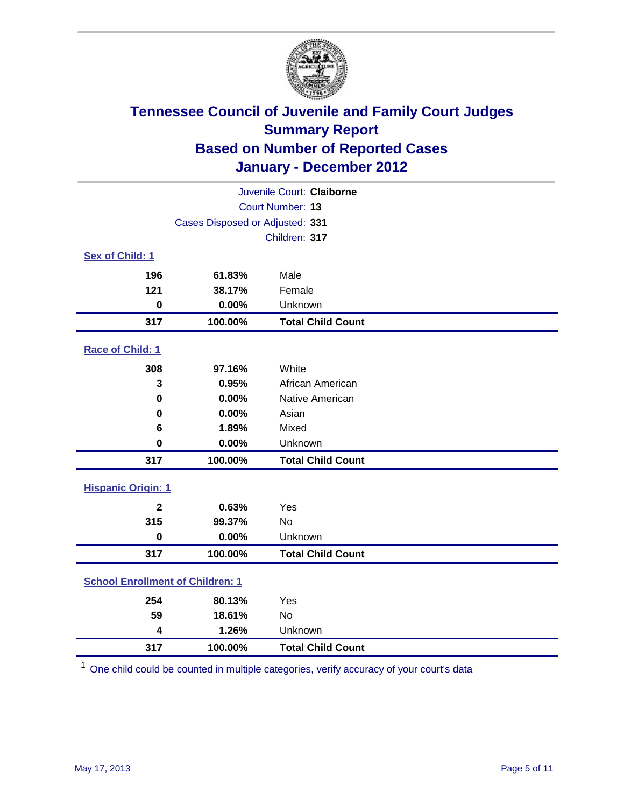

| Juvenile Court: Claiborne               |         |                          |  |  |
|-----------------------------------------|---------|--------------------------|--|--|
| Court Number: 13                        |         |                          |  |  |
| Cases Disposed or Adjusted: 331         |         |                          |  |  |
| Children: 317                           |         |                          |  |  |
| Sex of Child: 1                         |         |                          |  |  |
| 196                                     | 61.83%  | Male                     |  |  |
| 121                                     | 38.17%  | Female                   |  |  |
| $\mathbf 0$                             | 0.00%   | Unknown                  |  |  |
| 317                                     | 100.00% | <b>Total Child Count</b> |  |  |
| Race of Child: 1                        |         |                          |  |  |
| 308                                     | 97.16%  | White                    |  |  |
| 3                                       | 0.95%   | African American         |  |  |
| $\mathbf 0$                             | 0.00%   | Native American          |  |  |
| 0                                       | 0.00%   | Asian                    |  |  |
| 6                                       | 1.89%   | Mixed                    |  |  |
| $\pmb{0}$                               | 0.00%   | Unknown                  |  |  |
| 317                                     | 100.00% | <b>Total Child Count</b> |  |  |
| <b>Hispanic Origin: 1</b>               |         |                          |  |  |
| $\overline{\mathbf{2}}$                 | 0.63%   | Yes                      |  |  |
| 315                                     | 99.37%  | <b>No</b>                |  |  |
| $\mathbf 0$                             | 0.00%   | Unknown                  |  |  |
| 317                                     | 100.00% | <b>Total Child Count</b> |  |  |
| <b>School Enrollment of Children: 1</b> |         |                          |  |  |
| 254                                     | 80.13%  | Yes                      |  |  |
| 59                                      | 18.61%  | No                       |  |  |
| 4                                       | 1.26%   | Unknown                  |  |  |
| 317                                     | 100.00% | <b>Total Child Count</b> |  |  |

One child could be counted in multiple categories, verify accuracy of your court's data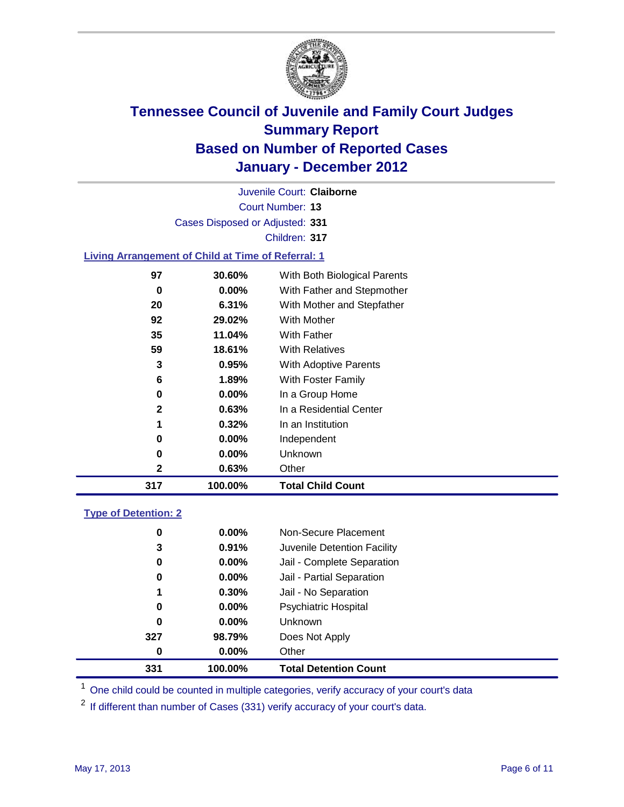

Court Number: **13** Juvenile Court: **Claiborne** Cases Disposed or Adjusted: **331** Children: **317 Living Arrangement of Child at Time of Referral: 1 30.60%** With Both Biological Parents

| 317 | 100.00%  | <b>Total Child Count</b>   |
|-----|----------|----------------------------|
| 2   | 0.63%    | Other                      |
| 0   | $0.00\%$ | Unknown                    |
| 0   | 0.00%    | Independent                |
| 1   | 0.32%    | In an Institution          |
| 2   | 0.63%    | In a Residential Center    |
| 0   | $0.00\%$ | In a Group Home            |
| 6   | 1.89%    | With Foster Family         |
| 3   | 0.95%    | With Adoptive Parents      |
| 59  | 18.61%   | <b>With Relatives</b>      |
| 35  | 11.04%   | With Father                |
| 92  | 29.02%   | With Mother                |
| 20  | 6.31%    | With Mother and Stepfather |
| 0   | 0.00%    | With Father and Stepmother |
|     |          |                            |

### **Type of Detention: 2**

| 331 | 100.00%  | <b>Total Detention Count</b> |  |
|-----|----------|------------------------------|--|
| 0   | 0.00%    | Other                        |  |
| 327 | 98.79%   | Does Not Apply               |  |
| 0   | $0.00\%$ | Unknown                      |  |
| 0   | $0.00\%$ | Psychiatric Hospital         |  |
| 1   | 0.30%    | Jail - No Separation         |  |
| 0   | $0.00\%$ | Jail - Partial Separation    |  |
| 0   | 0.00%    | Jail - Complete Separation   |  |
| 3   | 0.91%    | Juvenile Detention Facility  |  |
| 0   | $0.00\%$ | Non-Secure Placement         |  |
|     |          |                              |  |

<sup>1</sup> One child could be counted in multiple categories, verify accuracy of your court's data

<sup>2</sup> If different than number of Cases (331) verify accuracy of your court's data.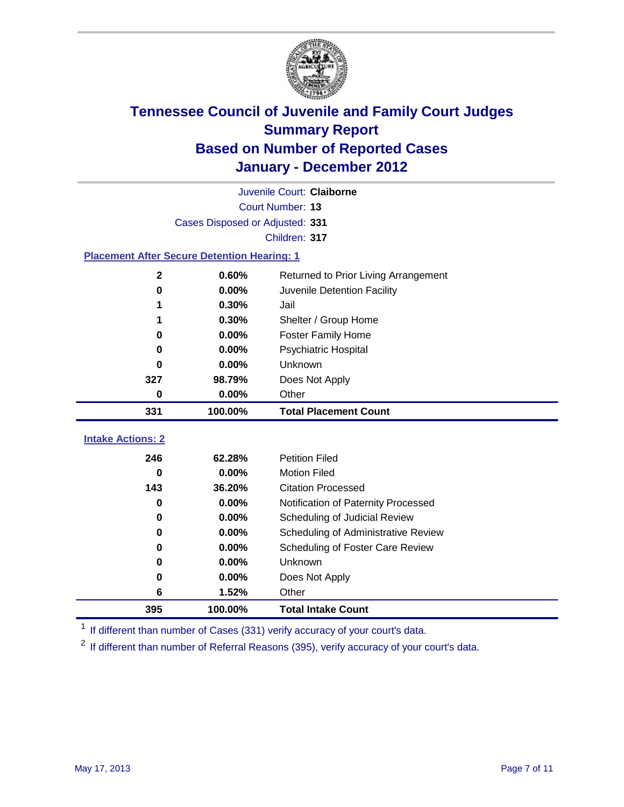

| Juvenile Court: Claiborne                          |          |                                      |  |  |  |
|----------------------------------------------------|----------|--------------------------------------|--|--|--|
| Court Number: 13                                   |          |                                      |  |  |  |
| Cases Disposed or Adjusted: 331                    |          |                                      |  |  |  |
| Children: 317                                      |          |                                      |  |  |  |
| <b>Placement After Secure Detention Hearing: 1</b> |          |                                      |  |  |  |
| $\mathbf 2$                                        | 0.60%    | Returned to Prior Living Arrangement |  |  |  |
| 0                                                  | 0.00%    | Juvenile Detention Facility          |  |  |  |
| 1                                                  | 0.30%    | Jail                                 |  |  |  |
| 1                                                  | 0.30%    | Shelter / Group Home                 |  |  |  |
| 0                                                  | 0.00%    | <b>Foster Family Home</b>            |  |  |  |
| 0                                                  | 0.00%    | Psychiatric Hospital                 |  |  |  |
| 0                                                  | $0.00\%$ | Unknown                              |  |  |  |
| 327                                                | 98.79%   | Does Not Apply                       |  |  |  |
| 0                                                  | $0.00\%$ | Other                                |  |  |  |
| 331                                                | 100.00%  | <b>Total Placement Count</b>         |  |  |  |
|                                                    |          |                                      |  |  |  |
| <b>Intake Actions: 2</b>                           |          |                                      |  |  |  |
| 246                                                | 62.28%   | <b>Petition Filed</b>                |  |  |  |
| $\bf{0}$                                           | 0.00%    | <b>Motion Filed</b>                  |  |  |  |
| 143                                                | 36.20%   | <b>Citation Processed</b>            |  |  |  |
| 0                                                  | 0.00%    | Notification of Paternity Processed  |  |  |  |
| $\mathbf 0$                                        | 0.00%    | Scheduling of Judicial Review        |  |  |  |
| 0                                                  | 0.00%    | Scheduling of Administrative Review  |  |  |  |
| 0                                                  | 0.00%    | Scheduling of Foster Care Review     |  |  |  |
| $\bf{0}$                                           | 0.00%    | Unknown                              |  |  |  |
| 0                                                  | $0.00\%$ | Does Not Apply                       |  |  |  |
| 6                                                  | 1.52%    | Other                                |  |  |  |

<sup>1</sup> If different than number of Cases (331) verify accuracy of your court's data.

<sup>2</sup> If different than number of Referral Reasons (395), verify accuracy of your court's data.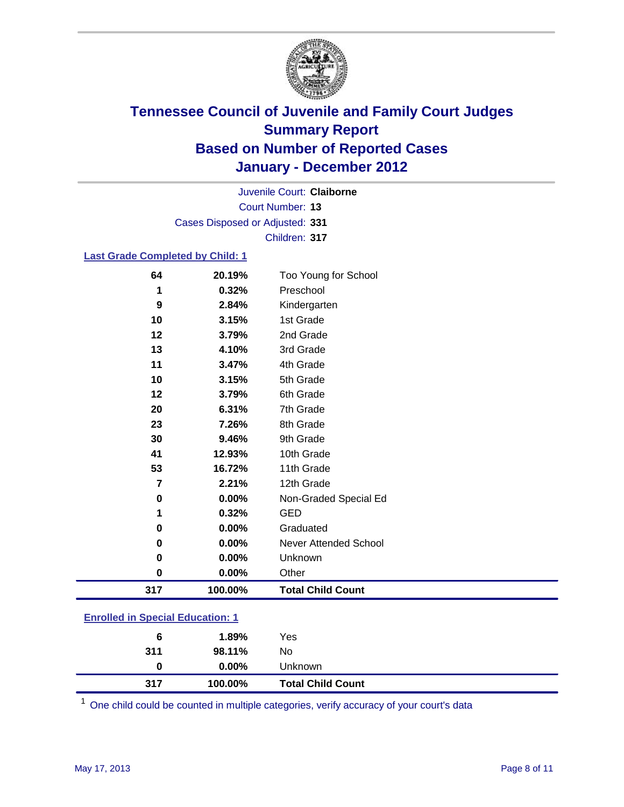

Court Number: **13** Juvenile Court: **Claiborne** Cases Disposed or Adjusted: **331** Children: **317**

### **Last Grade Completed by Child: 1**

| 64                               | 20.19%   | Too Young for School         |  |
|----------------------------------|----------|------------------------------|--|
| 1                                | 0.32%    | Preschool                    |  |
| 9                                | 2.84%    | Kindergarten                 |  |
| 10                               | 3.15%    | 1st Grade                    |  |
| 12                               | 3.79%    | 2nd Grade                    |  |
| 13                               | 4.10%    | 3rd Grade                    |  |
| 11                               | 3.47%    | 4th Grade                    |  |
| 10                               | 3.15%    | 5th Grade                    |  |
| 12                               | 3.79%    | 6th Grade                    |  |
| 20                               | 6.31%    | 7th Grade                    |  |
| 23                               | 7.26%    | 8th Grade                    |  |
| 30                               | 9.46%    | 9th Grade                    |  |
| 41                               | 12.93%   | 10th Grade                   |  |
| 53                               | 16.72%   | 11th Grade                   |  |
| $\overline{7}$                   | 2.21%    | 12th Grade                   |  |
| 0                                | 0.00%    | Non-Graded Special Ed        |  |
| 1                                | 0.32%    | <b>GED</b>                   |  |
| 0                                | 0.00%    | Graduated                    |  |
| 0                                | 0.00%    | <b>Never Attended School</b> |  |
| 0                                | $0.00\%$ | Unknown                      |  |
| 0                                | 0.00%    | Other                        |  |
| 317                              | 100.00%  | <b>Total Child Count</b>     |  |
| Enrolled in Cossial Education: 1 |          |                              |  |

| 317 | 100.00%  | <b>Total Child Count</b> |  |
|-----|----------|--------------------------|--|
| 0   | $0.00\%$ | Unknown                  |  |
| 311 | 98.11%   | No                       |  |
| 6   | 1.89%    | Yes                      |  |
|     |          |                          |  |

One child could be counted in multiple categories, verify accuracy of your court's data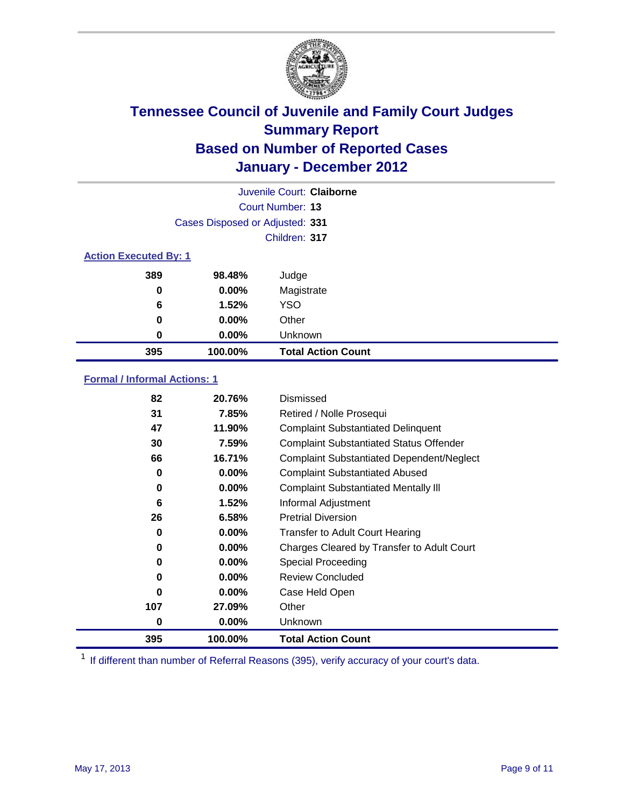

|                              |                                 | Juvenile Court: Claiborne |
|------------------------------|---------------------------------|---------------------------|
|                              |                                 | Court Number: 13          |
|                              | Cases Disposed or Adjusted: 331 |                           |
|                              |                                 | Children: 317             |
| <b>Action Executed By: 1</b> |                                 |                           |
| 389                          | 98.48%                          | Judge                     |
| 0                            | $0.00\%$                        | Magistrate                |
| 6                            | 1.52%                           | <b>YSO</b>                |
| 0                            | $0.00\%$                        | Other                     |
| 0                            | 0.00%                           | Unknown                   |
| 395                          | 100.00%                         | <b>Total Action Count</b> |

### **Formal / Informal Actions: 1**

| 82  | 20.76%   | Dismissed                                        |
|-----|----------|--------------------------------------------------|
| 31  | 7.85%    | Retired / Nolle Prosequi                         |
| 47  | 11.90%   | <b>Complaint Substantiated Delinquent</b>        |
| 30  | 7.59%    | <b>Complaint Substantiated Status Offender</b>   |
| 66  | 16.71%   | <b>Complaint Substantiated Dependent/Neglect</b> |
| 0   | $0.00\%$ | <b>Complaint Substantiated Abused</b>            |
| 0   | $0.00\%$ | <b>Complaint Substantiated Mentally III</b>      |
| 6   | 1.52%    | Informal Adjustment                              |
| 26  | 6.58%    | <b>Pretrial Diversion</b>                        |
| 0   | $0.00\%$ | <b>Transfer to Adult Court Hearing</b>           |
| 0   | $0.00\%$ | Charges Cleared by Transfer to Adult Court       |
| 0   | $0.00\%$ | Special Proceeding                               |
| 0   | 0.00%    | <b>Review Concluded</b>                          |
| 0   | $0.00\%$ | Case Held Open                                   |
| 107 | 27.09%   | Other                                            |
| 0   | $0.00\%$ | <b>Unknown</b>                                   |
| 395 | 100.00%  | <b>Total Action Count</b>                        |

<sup>1</sup> If different than number of Referral Reasons (395), verify accuracy of your court's data.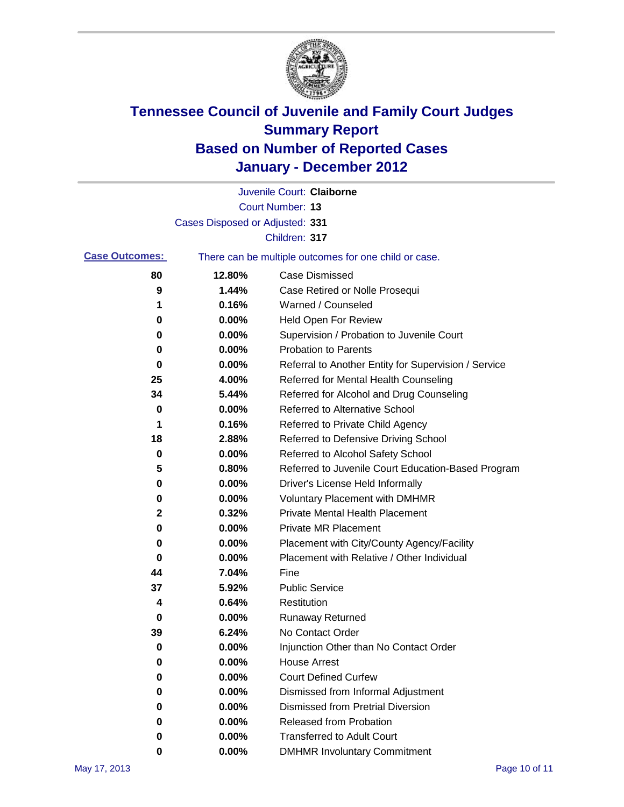

|                       |                                 | Juvenile Court: Claiborne                             |
|-----------------------|---------------------------------|-------------------------------------------------------|
|                       |                                 | <b>Court Number: 13</b>                               |
|                       | Cases Disposed or Adjusted: 331 |                                                       |
|                       |                                 | Children: 317                                         |
| <b>Case Outcomes:</b> |                                 | There can be multiple outcomes for one child or case. |
| 80                    | 12.80%                          | <b>Case Dismissed</b>                                 |
| 9                     | 1.44%                           | Case Retired or Nolle Prosequi                        |
| 1                     | 0.16%                           | Warned / Counseled                                    |
| 0                     | 0.00%                           | Held Open For Review                                  |
| 0                     | 0.00%                           | Supervision / Probation to Juvenile Court             |
| 0                     | 0.00%                           | <b>Probation to Parents</b>                           |
| 0                     | 0.00%                           | Referral to Another Entity for Supervision / Service  |
| 25                    | 4.00%                           | Referred for Mental Health Counseling                 |
| 34                    | 5.44%                           | Referred for Alcohol and Drug Counseling              |
| 0                     | 0.00%                           | <b>Referred to Alternative School</b>                 |
| 1                     | 0.16%                           | Referred to Private Child Agency                      |
| 18                    | 2.88%                           | Referred to Defensive Driving School                  |
| 0                     | 0.00%                           | Referred to Alcohol Safety School                     |
| 5                     | 0.80%                           | Referred to Juvenile Court Education-Based Program    |
| 0                     | 0.00%                           | Driver's License Held Informally                      |
| 0                     | 0.00%                           | <b>Voluntary Placement with DMHMR</b>                 |
| 2                     | 0.32%                           | <b>Private Mental Health Placement</b>                |
| 0                     | 0.00%                           | <b>Private MR Placement</b>                           |
| 0                     | 0.00%                           | Placement with City/County Agency/Facility            |
| 0                     | 0.00%                           | Placement with Relative / Other Individual            |
| 44                    | 7.04%                           | Fine                                                  |
| 37                    | 5.92%                           | <b>Public Service</b>                                 |
| 4                     | 0.64%                           | Restitution                                           |
| 0                     | 0.00%                           | <b>Runaway Returned</b>                               |
| 39                    | 6.24%                           | No Contact Order                                      |
| 0                     | 0.00%                           | Injunction Other than No Contact Order                |
| 0                     | 0.00%                           | <b>House Arrest</b>                                   |
| 0                     | $0.00\%$                        | <b>Court Defined Curfew</b>                           |
| 0                     | $0.00\%$                        | Dismissed from Informal Adjustment                    |
| 0                     | $0.00\%$                        | <b>Dismissed from Pretrial Diversion</b>              |
| 0                     | 0.00%                           | Released from Probation                               |
| 0                     | 0.00%                           | <b>Transferred to Adult Court</b>                     |
| 0                     | 0.00%                           | <b>DMHMR Involuntary Commitment</b>                   |